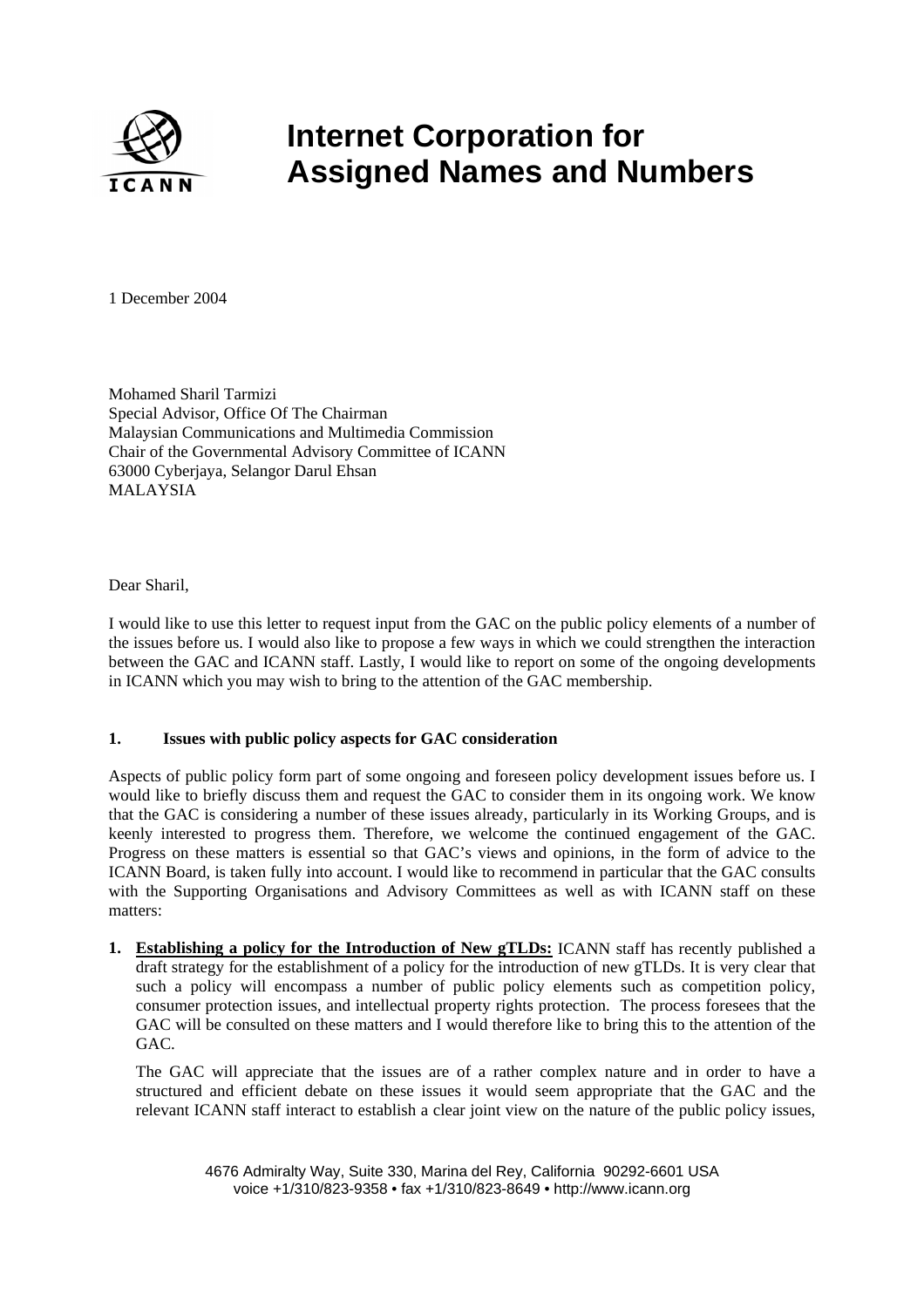

# **Internet Corporation for Assigned Names and Numbers**

1 December 2004

Mohamed Sharil Tarmizi Special Advisor, Office Of The Chairman Malaysian Communications and Multimedia Commission Chair of the Governmental Advisory Committee of ICANN 63000 Cyberjaya, Selangor Darul Ehsan MALAYSIA

Dear Sharil,

I would like to use this letter to request input from the GAC on the public policy elements of a number of the issues before us. I would also like to propose a few ways in which we could strengthen the interaction between the GAC and ICANN staff. Lastly, I would like to report on some of the ongoing developments in ICANN which you may wish to bring to the attention of the GAC membership.

## **1. Issues with public policy aspects for GAC consideration**

Aspects of public policy form part of some ongoing and foreseen policy development issues before us. I would like to briefly discuss them and request the GAC to consider them in its ongoing work. We know that the GAC is considering a number of these issues already, particularly in its Working Groups, and is keenly interested to progress them. Therefore, we welcome the continued engagement of the GAC. Progress on these matters is essential so that GAC's views and opinions, in the form of advice to the ICANN Board, is taken fully into account. I would like to recommend in particular that the GAC consults with the Supporting Organisations and Advisory Committees as well as with ICANN staff on these matters:

**1. Establishing a policy for the Introduction of New gTLDs:** ICANN staff has recently published a draft strategy for the establishment of a policy for the introduction of new gTLDs. It is very clear that such a policy will encompass a number of public policy elements such as competition policy, consumer protection issues, and intellectual property rights protection. The process foresees that the GAC will be consulted on these matters and I would therefore like to bring this to the attention of the GAC.

The GAC will appreciate that the issues are of a rather complex nature and in order to have a structured and efficient debate on these issues it would seem appropriate that the GAC and the relevant ICANN staff interact to establish a clear joint view on the nature of the public policy issues,

4676 Admiralty Way, Suite 330, Marina del Rey, California 90292-6601 USA voice +1/310/823-9358 • fax +1/310/823-8649 • http://www.icann.org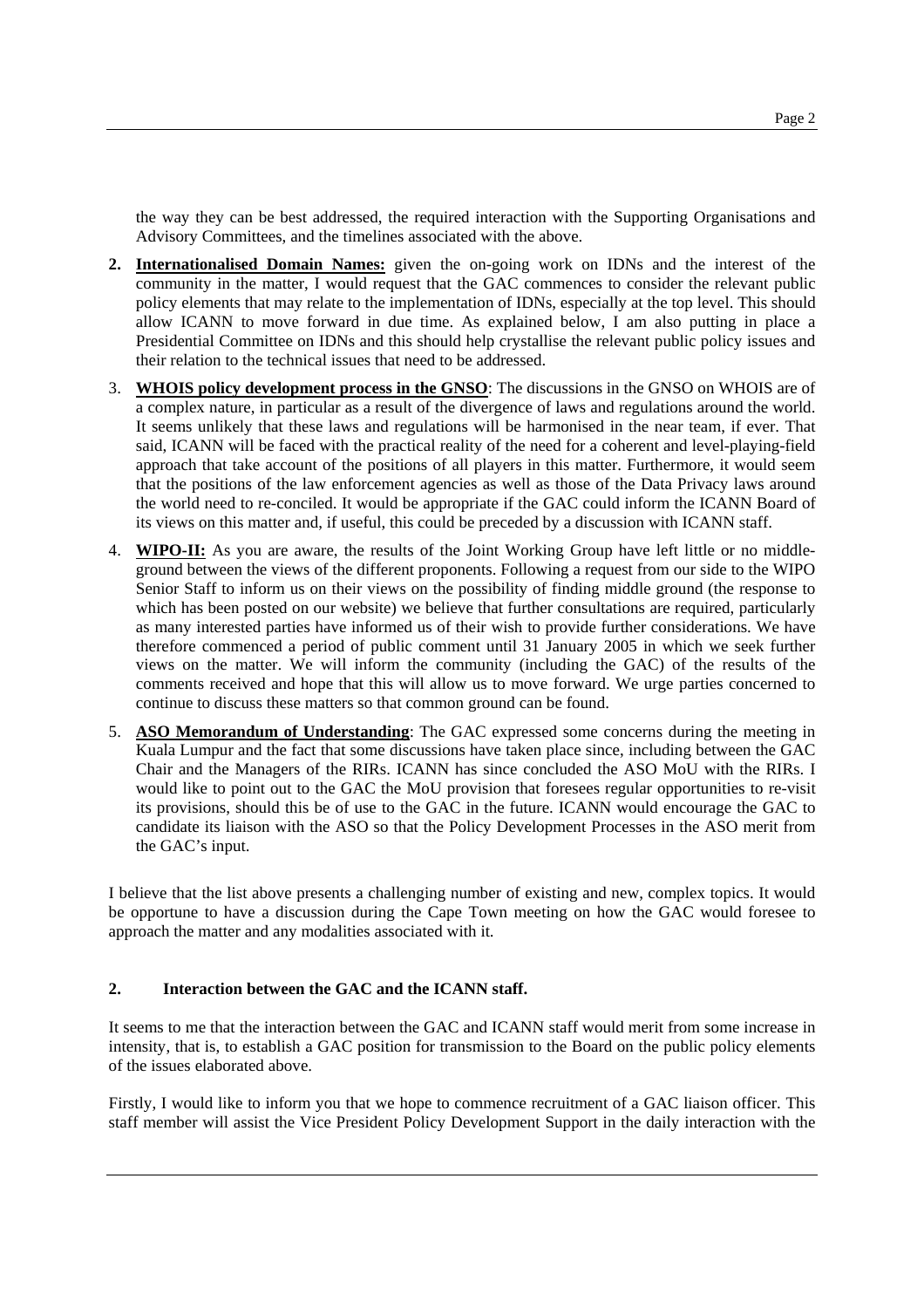the way they can be best addressed, the required interaction with the Supporting Organisations and Advisory Committees, and the timelines associated with the above.

- **2. Internationalised Domain Names:** given the on-going work on IDNs and the interest of the community in the matter, I would request that the GAC commences to consider the relevant public policy elements that may relate to the implementation of IDNs, especially at the top level. This should allow ICANN to move forward in due time. As explained below, I am also putting in place a Presidential Committee on IDNs and this should help crystallise the relevant public policy issues and their relation to the technical issues that need to be addressed.
- 3. **WHOIS policy development process in the GNSO**: The discussions in the GNSO on WHOIS are of a complex nature, in particular as a result of the divergence of laws and regulations around the world. It seems unlikely that these laws and regulations will be harmonised in the near team, if ever. That said, ICANN will be faced with the practical reality of the need for a coherent and level-playing-field approach that take account of the positions of all players in this matter. Furthermore, it would seem that the positions of the law enforcement agencies as well as those of the Data Privacy laws around the world need to re-conciled. It would be appropriate if the GAC could inform the ICANN Board of its views on this matter and, if useful, this could be preceded by a discussion with ICANN staff.
- 4. **WIPO-II:** As you are aware, the results of the Joint Working Group have left little or no middleground between the views of the different proponents. Following a request from our side to the WIPO Senior Staff to inform us on their views on the possibility of finding middle ground (the response to which has been posted on our website) we believe that further consultations are required, particularly as many interested parties have informed us of their wish to provide further considerations. We have therefore commenced a period of public comment until 31 January 2005 in which we seek further views on the matter. We will inform the community (including the GAC) of the results of the comments received and hope that this will allow us to move forward. We urge parties concerned to continue to discuss these matters so that common ground can be found.
- 5. **ASO Memorandum of Understanding**: The GAC expressed some concerns during the meeting in Kuala Lumpur and the fact that some discussions have taken place since, including between the GAC Chair and the Managers of the RIRs. ICANN has since concluded the ASO MoU with the RIRs. I would like to point out to the GAC the MoU provision that foresees regular opportunities to re-visit its provisions, should this be of use to the GAC in the future. ICANN would encourage the GAC to candidate its liaison with the ASO so that the Policy Development Processes in the ASO merit from the GAC's input.

I believe that the list above presents a challenging number of existing and new, complex topics. It would be opportune to have a discussion during the Cape Town meeting on how the GAC would foresee to approach the matter and any modalities associated with it.

#### **2. Interaction between the GAC and the ICANN staff.**

It seems to me that the interaction between the GAC and ICANN staff would merit from some increase in intensity, that is, to establish a GAC position for transmission to the Board on the public policy elements of the issues elaborated above.

Firstly, I would like to inform you that we hope to commence recruitment of a GAC liaison officer. This staff member will assist the Vice President Policy Development Support in the daily interaction with the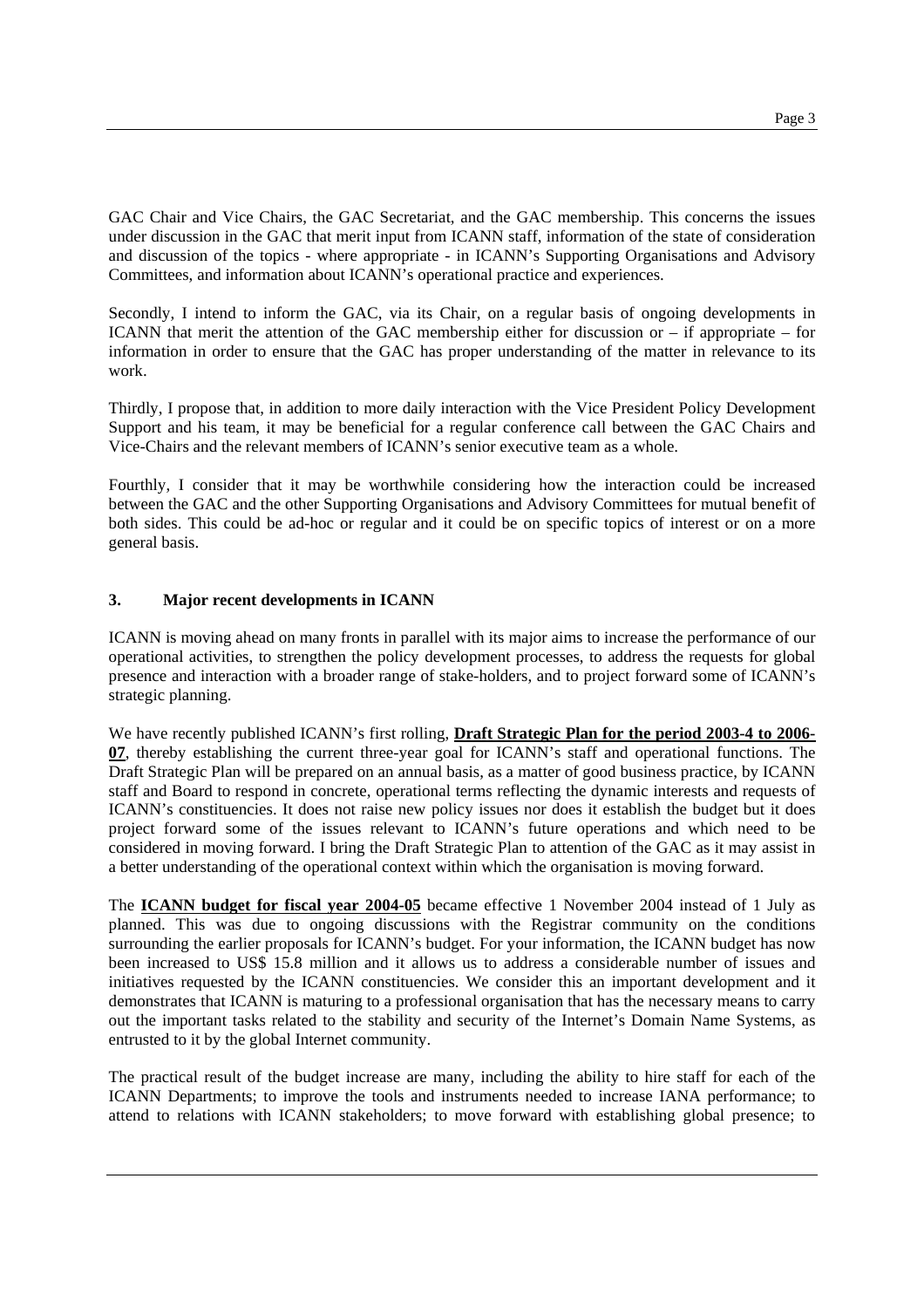GAC Chair and Vice Chairs, the GAC Secretariat, and the GAC membership. This concerns the issues under discussion in the GAC that merit input from ICANN staff, information of the state of consideration and discussion of the topics - where appropriate - in ICANN's Supporting Organisations and Advisory Committees, and information about ICANN's operational practice and experiences.

Secondly, I intend to inform the GAC, via its Chair, on a regular basis of ongoing developments in ICANN that merit the attention of the GAC membership either for discussion or – if appropriate – for information in order to ensure that the GAC has proper understanding of the matter in relevance to its work.

Thirdly, I propose that, in addition to more daily interaction with the Vice President Policy Development Support and his team, it may be beneficial for a regular conference call between the GAC Chairs and Vice-Chairs and the relevant members of ICANN's senior executive team as a whole.

Fourthly, I consider that it may be worthwhile considering how the interaction could be increased between the GAC and the other Supporting Organisations and Advisory Committees for mutual benefit of both sides. This could be ad-hoc or regular and it could be on specific topics of interest or on a more general basis.

### **3. Major recent developments in ICANN**

ICANN is moving ahead on many fronts in parallel with its major aims to increase the performance of our operational activities, to strengthen the policy development processes, to address the requests for global presence and interaction with a broader range of stake-holders, and to project forward some of ICANN's strategic planning.

We have recently published ICANN's first rolling, **Draft Strategic Plan for the period 2003-4 to 2006- 07**, thereby establishing the current three-year goal for ICANN's staff and operational functions. The Draft Strategic Plan will be prepared on an annual basis, as a matter of good business practice, by ICANN staff and Board to respond in concrete, operational terms reflecting the dynamic interests and requests of ICANN's constituencies. It does not raise new policy issues nor does it establish the budget but it does project forward some of the issues relevant to ICANN's future operations and which need to be considered in moving forward. I bring the Draft Strategic Plan to attention of the GAC as it may assist in a better understanding of the operational context within which the organisation is moving forward.

The **ICANN budget for fiscal year 2004-05** became effective 1 November 2004 instead of 1 July as planned. This was due to ongoing discussions with the Registrar community on the conditions surrounding the earlier proposals for ICANN's budget. For your information, the ICANN budget has now been increased to US\$ 15.8 million and it allows us to address a considerable number of issues and initiatives requested by the ICANN constituencies. We consider this an important development and it demonstrates that ICANN is maturing to a professional organisation that has the necessary means to carry out the important tasks related to the stability and security of the Internet's Domain Name Systems, as entrusted to it by the global Internet community.

The practical result of the budget increase are many, including the ability to hire staff for each of the ICANN Departments; to improve the tools and instruments needed to increase IANA performance; to attend to relations with ICANN stakeholders; to move forward with establishing global presence; to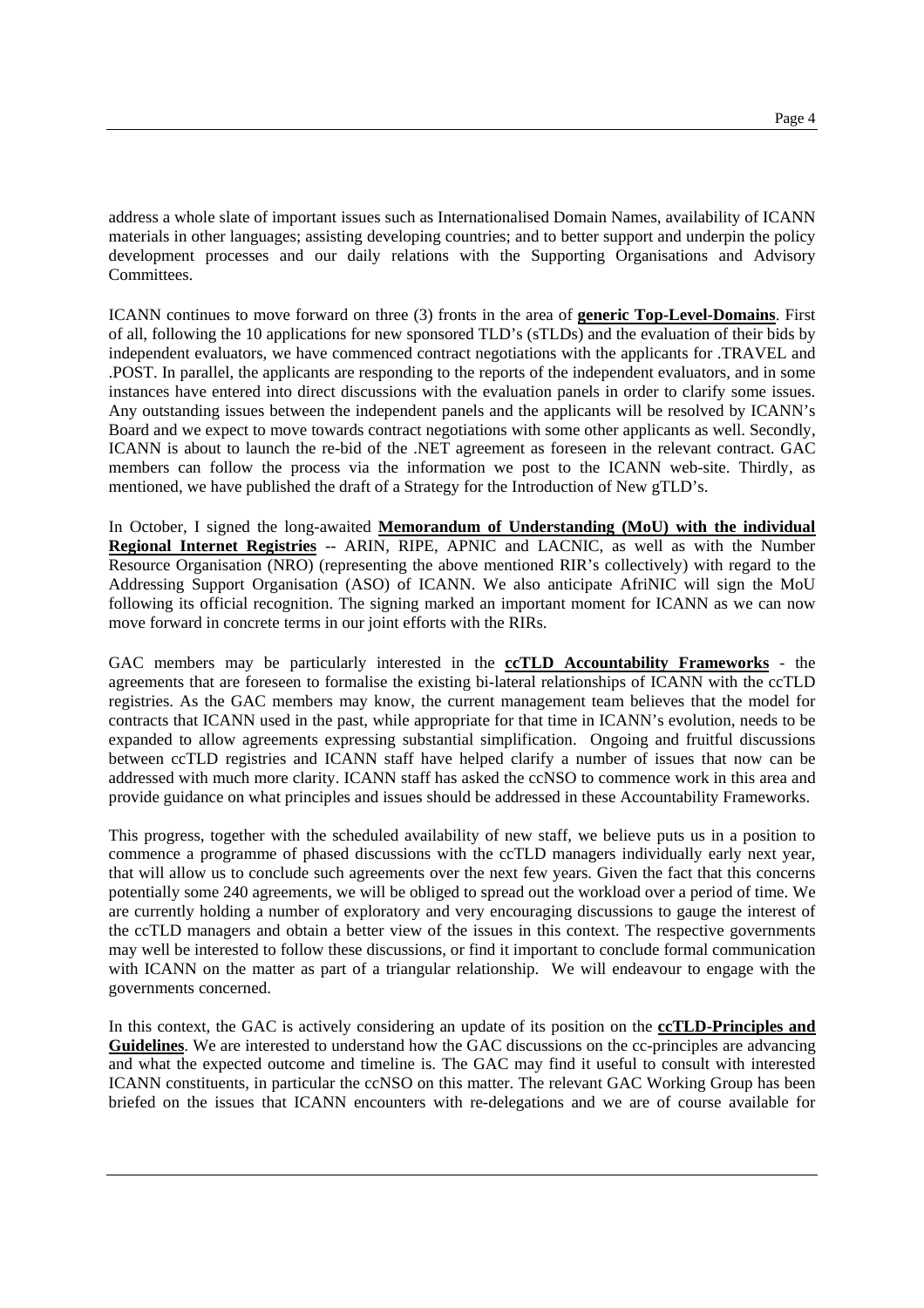address a whole slate of important issues such as Internationalised Domain Names, availability of ICANN materials in other languages; assisting developing countries; and to better support and underpin the policy development processes and our daily relations with the Supporting Organisations and Advisory Committees.

ICANN continues to move forward on three (3) fronts in the area of **generic Top-Level-Domains**. First of all, following the 10 applications for new sponsored TLD's (sTLDs) and the evaluation of their bids by independent evaluators, we have commenced contract negotiations with the applicants for .TRAVEL and .POST. In parallel, the applicants are responding to the reports of the independent evaluators, and in some instances have entered into direct discussions with the evaluation panels in order to clarify some issues. Any outstanding issues between the independent panels and the applicants will be resolved by ICANN's Board and we expect to move towards contract negotiations with some other applicants as well. Secondly, ICANN is about to launch the re-bid of the .NET agreement as foreseen in the relevant contract. GAC members can follow the process via the information we post to the ICANN web-site. Thirdly, as mentioned, we have published the draft of a Strategy for the Introduction of New gTLD's.

In October, I signed the long-awaited **Memorandum of Understanding (MoU) with the individual Regional Internet Registries** -- ARIN, RIPE, APNIC and LACNIC, as well as with the Number Resource Organisation (NRO) (representing the above mentioned RIR's collectively) with regard to the Addressing Support Organisation (ASO) of ICANN. We also anticipate AfriNIC will sign the MoU following its official recognition. The signing marked an important moment for ICANN as we can now move forward in concrete terms in our joint efforts with the RIRs.

GAC members may be particularly interested in the **ccTLD Accountability Frameworks** - the agreements that are foreseen to formalise the existing bi-lateral relationships of ICANN with the ccTLD registries. As the GAC members may know, the current management team believes that the model for contracts that ICANN used in the past, while appropriate for that time in ICANN's evolution, needs to be expanded to allow agreements expressing substantial simplification. Ongoing and fruitful discussions between ccTLD registries and ICANN staff have helped clarify a number of issues that now can be addressed with much more clarity. ICANN staff has asked the ccNSO to commence work in this area and provide guidance on what principles and issues should be addressed in these Accountability Frameworks.

This progress, together with the scheduled availability of new staff, we believe puts us in a position to commence a programme of phased discussions with the ccTLD managers individually early next year, that will allow us to conclude such agreements over the next few years. Given the fact that this concerns potentially some 240 agreements, we will be obliged to spread out the workload over a period of time. We are currently holding a number of exploratory and very encouraging discussions to gauge the interest of the ccTLD managers and obtain a better view of the issues in this context. The respective governments may well be interested to follow these discussions, or find it important to conclude formal communication with ICANN on the matter as part of a triangular relationship. We will endeavour to engage with the governments concerned.

In this context, the GAC is actively considering an update of its position on the **ccTLD-Principles and Guidelines**. We are interested to understand how the GAC discussions on the cc-principles are advancing and what the expected outcome and timeline is. The GAC may find it useful to consult with interested ICANN constituents, in particular the ccNSO on this matter. The relevant GAC Working Group has been briefed on the issues that ICANN encounters with re-delegations and we are of course available for